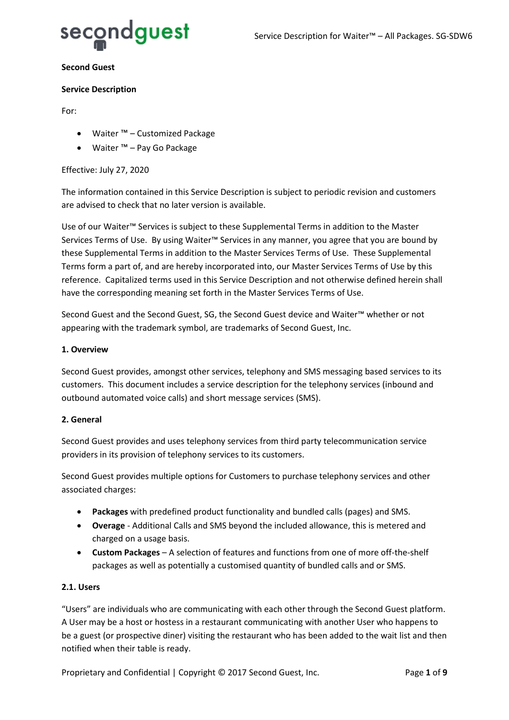

#### **Second Guest**

#### **Service Description**

For:

- Waiter ™ Customized Package
- Waiter ™ Pay Go Package

## Effective: July 27, 2020

The information contained in this Service Description is subject to periodic revision and customers are advised to check that no later version is available.

Use of our Waiter™ Services is subject to these Supplemental Terms in addition to the Master Services Terms of Use. By using Waiter™ Services in any manner, you agree that you are bound by these Supplemental Terms in addition to the Master Services Terms of Use. These Supplemental Terms form a part of, and are hereby incorporated into, our Master Services Terms of Use by this reference. Capitalized terms used in this Service Description and not otherwise defined herein shall have the corresponding meaning set forth in the Master Services Terms of Use.

Second Guest and the Second Guest, SG, the Second Guest device and Waiter™ whether or not appearing with the trademark symbol, are trademarks of Second Guest, Inc.

#### **1. Overview**

Second Guest provides, amongst other services, telephony and SMS messaging based services to its customers. This document includes a service description for the telephony services (inbound and outbound automated voice calls) and short message services (SMS).

## **2. General**

Second Guest provides and uses telephony services from third party telecommunication service providers in its provision of telephony services to its customers.

Second Guest provides multiple options for Customers to purchase telephony services and other associated charges:

- **Packages** with predefined product functionality and bundled calls (pages) and SMS.
- **Overage** Additional Calls and SMS beyond the included allowance, this is metered and charged on a usage basis.
- **Custom Packages** A selection of features and functions from one of more off-the-shelf packages as well as potentially a customised quantity of bundled calls and or SMS.

#### **2.1. Users**

"Users" are individuals who are communicating with each other through the Second Guest platform. A User may be a host or hostess in a restaurant communicating with another User who happens to be a guest (or prospective diner) visiting the restaurant who has been added to the wait list and then notified when their table is ready.

Proprietary and Confidential | Copyright © 2017 Second Guest, Inc. Page 1 of 9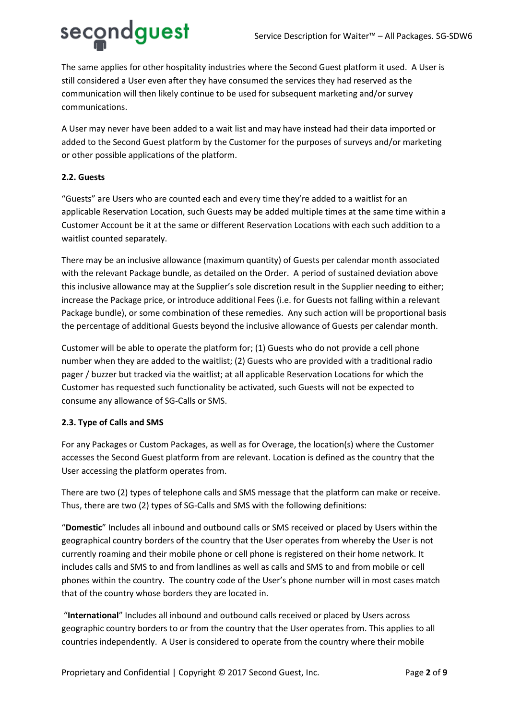

The same applies for other hospitality industries where the Second Guest platform it used. A User is still considered a User even after they have consumed the services they had reserved as the communication will then likely continue to be used for subsequent marketing and/or survey communications.

A User may never have been added to a wait list and may have instead had their data imported or added to the Second Guest platform by the Customer for the purposes of surveys and/or marketing or other possible applications of the platform.

# **2.2. Guests**

"Guests" are Users who are counted each and every time they're added to a waitlist for an applicable Reservation Location, such Guests may be added multiple times at the same time within a Customer Account be it at the same or different Reservation Locations with each such addition to a waitlist counted separately.

There may be an inclusive allowance (maximum quantity) of Guests per calendar month associated with the relevant Package bundle, as detailed on the Order. A period of sustained deviation above this inclusive allowance may at the Supplier's sole discretion result in the Supplier needing to either; increase the Package price, or introduce additional Fees (i.e. for Guests not falling within a relevant Package bundle), or some combination of these remedies. Any such action will be proportional basis the percentage of additional Guests beyond the inclusive allowance of Guests per calendar month.

Customer will be able to operate the platform for; (1) Guests who do not provide a cell phone number when they are added to the waitlist; (2) Guests who are provided with a traditional radio pager / buzzer but tracked via the waitlist; at all applicable Reservation Locations for which the Customer has requested such functionality be activated, such Guests will not be expected to consume any allowance of SG-Calls or SMS.

## **2.3. Type of Calls and SMS**

For any Packages or Custom Packages, as well as for Overage, the location(s) where the Customer accesses the Second Guest platform from are relevant. Location is defined as the country that the User accessing the platform operates from.

There are two (2) types of telephone calls and SMS message that the platform can make or receive. Thus, there are two (2) types of SG-Calls and SMS with the following definitions:

"**Domestic**" Includes all inbound and outbound calls or SMS received or placed by Users within the geographical country borders of the country that the User operates from whereby the User is not currently roaming and their mobile phone or cell phone is registered on their home network. It includes calls and SMS to and from landlines as well as calls and SMS to and from mobile or cell phones within the country. The country code of the User's phone number will in most cases match that of the country whose borders they are located in.

"**International**" Includes all inbound and outbound calls received or placed by Users across geographic country borders to or from the country that the User operates from. This applies to all countries independently. A User is considered to operate from the country where their mobile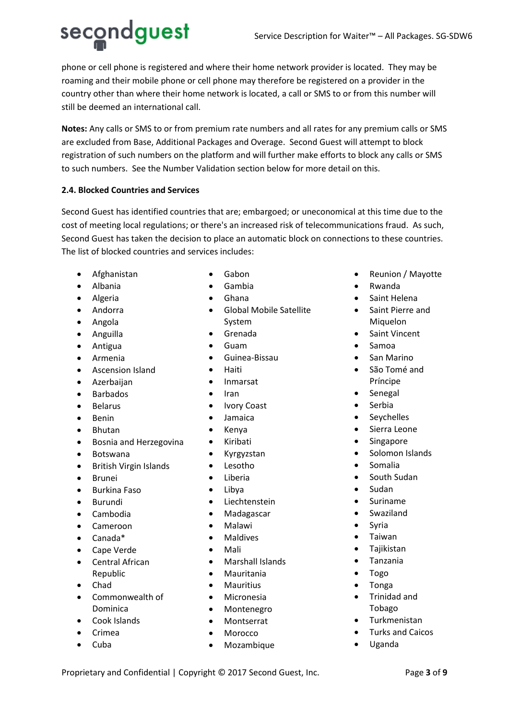secondguest

phone or cell phone is registered and where their home network provider is located. They may be roaming and their mobile phone or cell phone may therefore be registered on a provider in the country other than where their home network is located, a call or SMS to or from this number will still be deemed an international call.

**Notes:** Any calls or SMS to or from premium rate numbers and all rates for any premium calls or SMS are excluded from Base, Additional Packages and Overage. Second Guest will attempt to block registration of such numbers on the platform and will further make efforts to block any calls or SMS to such numbers. See the Number Validation section below for more detail on this.

# **2.4. Blocked Countries and Services**

Second Guest has identified countries that are; embargoed; or uneconomical at this time due to the cost of meeting local regulations; or there's an increased risk of telecommunications fraud. As such, Second Guest has taken the decision to place an automatic block on connections to these countries. The list of blocked countries and services includes:

- Afghanistan
- Albania
- Algeria
- Andorra
- Angola
- Anguilla
- Antigua
- Armenia
- Ascension Island
- Azerbaijan
- Barbados
- Belarus
- Benin
- Bhutan
- Bosnia and Herzegovina
- Botswana
- British Virgin Islands
- Brunei
- Burkina Faso
- Burundi
- Cambodia
- Cameroon
- Canada\*
- Cape Verde
- Central African Republic
- Chad
- Commonwealth of Dominica
- Cook Islands
- Crimea
- Cuba
- Gabon
- Gambia
- Ghana
- Global Mobile Satellite System
- Grenada
- Guam
- Guinea-Bissau
- Haiti
- Inmarsat
- Iran
- Ivory Coast
- Jamaica
- Kenya
- Kiribati
- Kyrgyzstan
- Lesotho
- Liberia
- 
- **Liechtenstein**
- Madagascar
- Malawi
- **Maldives**
- Mali
- Marshall Islands
- Mauritania
- **Mauritius**
- Micronesia
- Montenegro
- Montserrat
- **Morocco**
- Mozambique
- Reunion / Mayotte
- Rwanda
- Saint Helena
- Saint Pierre and Miquelon
- Saint Vincent
- Samoa
- San Marino
- São Tomé and Príncipe
- Senegal
- Serbia
- Seychelles
- Sierra Leone
- **Singapore**
- Solomon Islands
- Somalia
- South Sudan
- Sudan
- **Suriname**
- **Swaziland**
- Syria
- Taiwan
- Tajikistan
- Tanzania
- Togo
- Tonga
- Trinidad and Tobago
- **Turkmenistan**
- Turks and Caicos
- Uganda

Proprietary and Confidential | Copyright © 2017 Second Guest, Inc. Page 3 of 9

- 
- Libya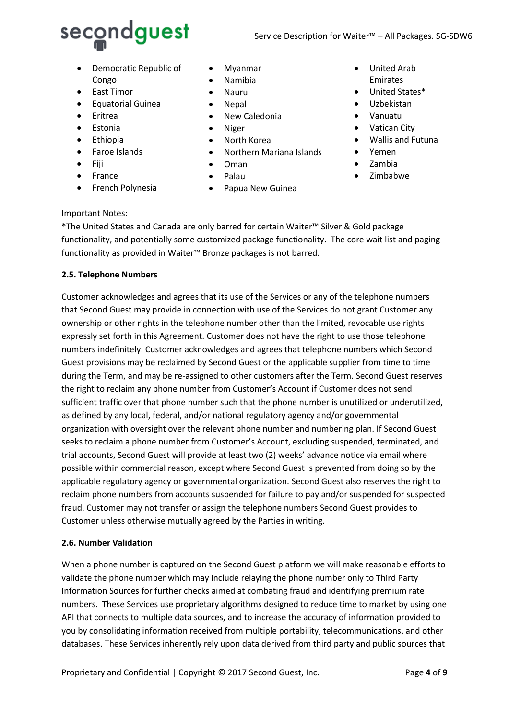

- Democratic Republic of Congo
- East Timor
- Equatorial Guinea
- Eritrea
- Estonia
- Ethiopia
- Faroe Islands
- Fiji
- France
- French Polynesia
- Myanmar
- Namibia
- Nauru
- Nepal
- New Caledonia
- Niger
- North Korea
- Northern Mariana Islands
- Oman
- Palau
- Papua New Guinea
- United Arab Emirates
- United States\*
- Uzbekistan
- Vanuatu
- Vatican City
- Wallis and Futuna
- Yemen
- Zambia
- Zimbabwe

## Important Notes:

\*The United States and Canada are only barred for certain Waiter™ Silver & Gold package functionality, and potentially some customized package functionality. The core wait list and paging functionality as provided in Waiter™ Bronze packages is not barred.

## **2.5. Telephone Numbers**

Customer acknowledges and agrees that its use of the Services or any of the telephone numbers that Second Guest may provide in connection with use of the Services do not grant Customer any ownership or other rights in the telephone number other than the limited, revocable use rights expressly set forth in this Agreement. Customer does not have the right to use those telephone numbers indefinitely. Customer acknowledges and agrees that telephone numbers which Second Guest provisions may be reclaimed by Second Guest or the applicable supplier from time to time during the Term, and may be re-assigned to other customers after the Term. Second Guest reserves the right to reclaim any phone number from Customer's Account if Customer does not send sufficient traffic over that phone number such that the phone number is unutilized or underutilized, as defined by any local, federal, and/or national regulatory agency and/or governmental organization with oversight over the relevant phone number and numbering plan. If Second Guest seeks to reclaim a phone number from Customer's Account, excluding suspended, terminated, and trial accounts, Second Guest will provide at least two (2) weeks' advance notice via email where possible within commercial reason, except where Second Guest is prevented from doing so by the applicable regulatory agency or governmental organization. Second Guest also reserves the right to reclaim phone numbers from accounts suspended for failure to pay and/or suspended for suspected fraud. Customer may not transfer or assign the telephone numbers Second Guest provides to Customer unless otherwise mutually agreed by the Parties in writing.

## **2.6. Number Validation**

When a phone number is captured on the Second Guest platform we will make reasonable efforts to validate the phone number which may include relaying the phone number only to Third Party Information Sources for further checks aimed at combating fraud and identifying premium rate numbers. These Services use proprietary algorithms designed to reduce time to market by using one API that connects to multiple data sources, and to increase the accuracy of information provided to you by consolidating information received from multiple portability, telecommunications, and other databases. These Services inherently rely upon data derived from third party and public sources that

Proprietary and Confidential | Copyright © 2017 Second Guest, Inc. Page 4 of 9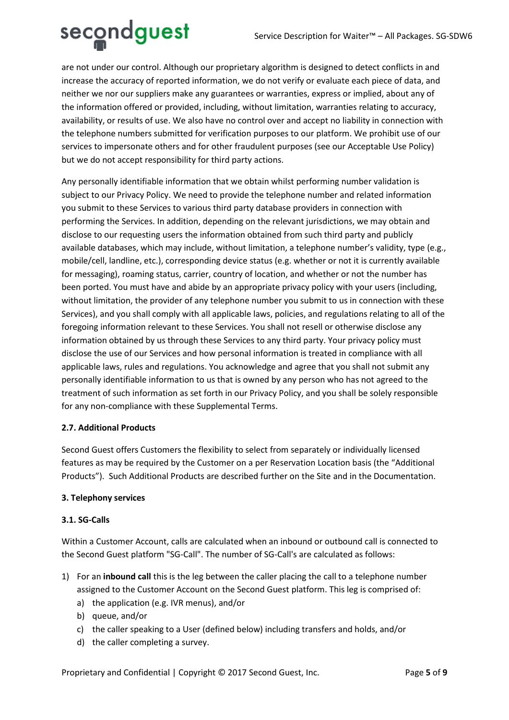

are not under our control. Although our proprietary algorithm is designed to detect conflicts in and increase the accuracy of reported information, we do not verify or evaluate each piece of data, and neither we nor our suppliers make any guarantees or warranties, express or implied, about any of the information offered or provided, including, without limitation, warranties relating to accuracy, availability, or results of use. We also have no control over and accept no liability in connection with the telephone numbers submitted for verification purposes to our platform. We prohibit use of our services to impersonate others and for other fraudulent purposes (see our Acceptable Use Policy) but we do not accept responsibility for third party actions.

Any personally identifiable information that we obtain whilst performing number validation is subject to our Privacy Policy. We need to provide the telephone number and related information you submit to these Services to various third party database providers in connection with performing the Services. In addition, depending on the relevant jurisdictions, we may obtain and disclose to our requesting users the information obtained from such third party and publicly available databases, which may include, without limitation, a telephone number's validity, type (e.g., mobile/cell, landline, etc.), corresponding device status (e.g. whether or not it is currently available for messaging), roaming status, carrier, country of location, and whether or not the number has been ported. You must have and abide by an appropriate privacy policy with your users (including, without limitation, the provider of any telephone number you submit to us in connection with these Services), and you shall comply with all applicable laws, policies, and regulations relating to all of the foregoing information relevant to these Services. You shall not resell or otherwise disclose any information obtained by us through these Services to any third party. Your privacy policy must disclose the use of our Services and how personal information is treated in compliance with all applicable laws, rules and regulations. You acknowledge and agree that you shall not submit any personally identifiable information to us that is owned by any person who has not agreed to the treatment of such information as set forth in our Privacy Policy, and you shall be solely responsible for any non-compliance with these Supplemental Terms.

# **2.7. Additional Products**

Second Guest offers Customers the flexibility to select from separately or individually licensed features as may be required by the Customer on a per Reservation Location basis (the "Additional Products"). Such Additional Products are described further on the Site and in the Documentation.

## **3. Telephony services**

## **3.1. SG-Calls**

Within a Customer Account, calls are calculated when an inbound or outbound call is connected to the Second Guest platform "SG-Call". The number of SG-Call's are calculated as follows:

- 1) For an **inbound call** this is the leg between the caller placing the call to a telephone number assigned to the Customer Account on the Second Guest platform. This leg is comprised of:
	- a) the application (e.g. IVR menus), and/or
	- b) queue, and/or
	- c) the caller speaking to a User (defined below) including transfers and holds, and/or
	- d) the caller completing a survey.

Proprietary and Confidential | Copyright © 2017 Second Guest, Inc. Page 5 of 9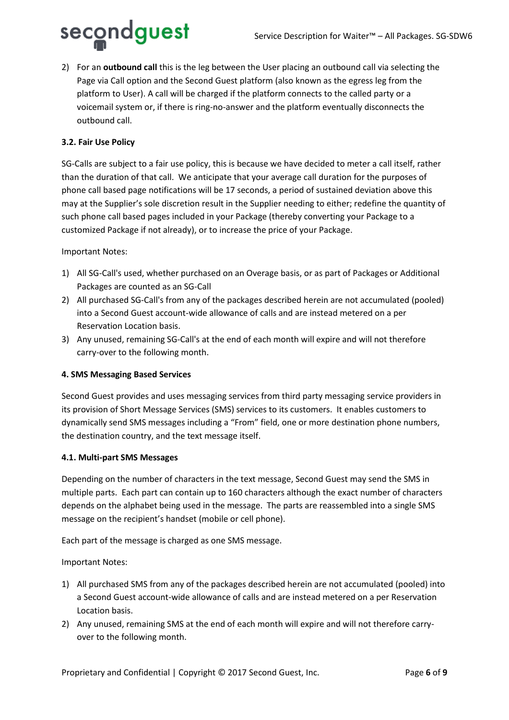

2) For an **outbound call** this is the leg between the User placing an outbound call via selecting the Page via Call option and the Second Guest platform (also known as the egress leg from the platform to User). A call will be charged if the platform connects to the called party or a voicemail system or, if there is ring-no-answer and the platform eventually disconnects the outbound call.

# **3.2. Fair Use Policy**

SG-Calls are subject to a fair use policy, this is because we have decided to meter a call itself, rather than the duration of that call. We anticipate that your average call duration for the purposes of phone call based page notifications will be 17 seconds, a period of sustained deviation above this may at the Supplier's sole discretion result in the Supplier needing to either; redefine the quantity of such phone call based pages included in your Package (thereby converting your Package to a customized Package if not already), or to increase the price of your Package.

Important Notes:

- 1) All SG-Call's used, whether purchased on an Overage basis, or as part of Packages or Additional Packages are counted as an SG-Call
- 2) All purchased SG-Call's from any of the packages described herein are not accumulated (pooled) into a Second Guest account-wide allowance of calls and are instead metered on a per Reservation Location basis.
- 3) Any unused, remaining SG-Call's at the end of each month will expire and will not therefore carry-over to the following month.

## **4. SMS Messaging Based Services**

Second Guest provides and uses messaging services from third party messaging service providers in its provision of Short Message Services (SMS) services to its customers. It enables customers to dynamically send SMS messages including a "From" field, one or more destination phone numbers, the destination country, and the text message itself.

#### **4.1. Multi-part SMS Messages**

Depending on the number of characters in the text message, Second Guest may send the SMS in multiple parts. Each part can contain up to 160 characters although the exact number of characters depends on the alphabet being used in the message. The parts are reassembled into a single SMS message on the recipient's handset (mobile or cell phone).

Each part of the message is charged as one SMS message.

Important Notes:

- 1) All purchased SMS from any of the packages described herein are not accumulated (pooled) into a Second Guest account-wide allowance of calls and are instead metered on a per Reservation Location basis.
- 2) Any unused, remaining SMS at the end of each month will expire and will not therefore carryover to the following month.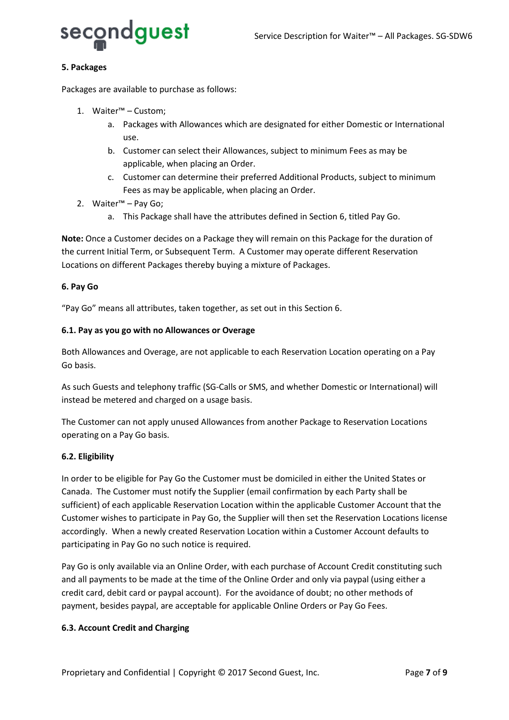

## **5. Packages**

Packages are available to purchase as follows:

- 1. Waiter™ Custom;
	- a. Packages with Allowances which are designated for either Domestic or International use.
	- b. Customer can select their Allowances, subject to minimum Fees as may be applicable, when placing an Order.
	- c. Customer can determine their preferred Additional Products, subject to minimum Fees as may be applicable, when placing an Order.
- 2. Waiter™ Pay Go;
	- a. This Package shall have the attributes defined in Section 6, titled Pay Go.

**Note:** Once a Customer decides on a Package they will remain on this Package for the duration of the current Initial Term, or Subsequent Term. A Customer may operate different Reservation Locations on different Packages thereby buying a mixture of Packages.

## **6. Pay Go**

"Pay Go" means all attributes, taken together, as set out in this Section 6.

## **6.1. Pay as you go with no Allowances or Overage**

Both Allowances and Overage, are not applicable to each Reservation Location operating on a Pay Go basis.

As such Guests and telephony traffic (SG-Calls or SMS, and whether Domestic or International) will instead be metered and charged on a usage basis.

The Customer can not apply unused Allowances from another Package to Reservation Locations operating on a Pay Go basis.

## **6.2. Eligibility**

In order to be eligible for Pay Go the Customer must be domiciled in either the United States or Canada. The Customer must notify the Supplier (email confirmation by each Party shall be sufficient) of each applicable Reservation Location within the applicable Customer Account that the Customer wishes to participate in Pay Go, the Supplier will then set the Reservation Locations license accordingly. When a newly created Reservation Location within a Customer Account defaults to participating in Pay Go no such notice is required.

Pay Go is only available via an Online Order, with each purchase of Account Credit constituting such and all payments to be made at the time of the Online Order and only via paypal (using either a credit card, debit card or paypal account). For the avoidance of doubt; no other methods of payment, besides paypal, are acceptable for applicable Online Orders or Pay Go Fees.

## **6.3. Account Credit and Charging**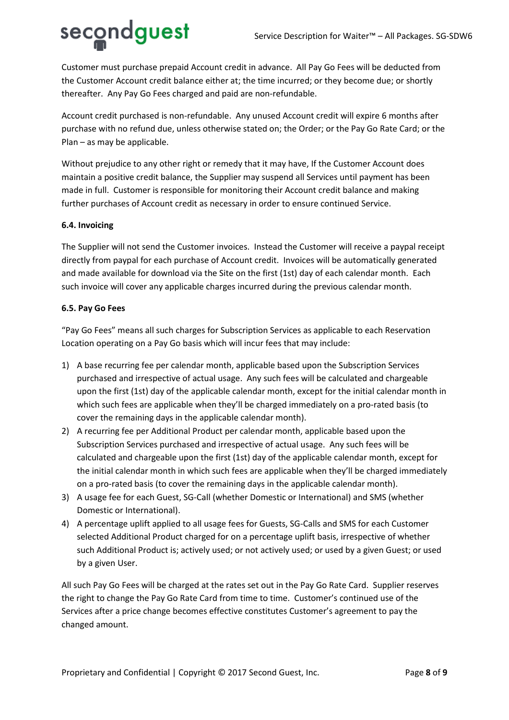# secondguest

Customer must purchase prepaid Account credit in advance. All Pay Go Fees will be deducted from the Customer Account credit balance either at; the time incurred; or they become due; or shortly thereafter. Any Pay Go Fees charged and paid are non-refundable.

Account credit purchased is non-refundable. Any unused Account credit will expire 6 months after purchase with no refund due, unless otherwise stated on; the Order; or the Pay Go Rate Card; or the Plan – as may be applicable.

Without prejudice to any other right or remedy that it may have, If the Customer Account does maintain a positive credit balance, the Supplier may suspend all Services until payment has been made in full. Customer is responsible for monitoring their Account credit balance and making further purchases of Account credit as necessary in order to ensure continued Service.

# **6.4. Invoicing**

The Supplier will not send the Customer invoices. Instead the Customer will receive a paypal receipt directly from paypal for each purchase of Account credit. Invoices will be automatically generated and made available for download via the Site on the first (1st) day of each calendar month. Each such invoice will cover any applicable charges incurred during the previous calendar month.

# **6.5. Pay Go Fees**

"Pay Go Fees" means all such charges for Subscription Services as applicable to each Reservation Location operating on a Pay Go basis which will incur fees that may include:

- 1) A base recurring fee per calendar month, applicable based upon the Subscription Services purchased and irrespective of actual usage. Any such fees will be calculated and chargeable upon the first (1st) day of the applicable calendar month, except for the initial calendar month in which such fees are applicable when they'll be charged immediately on a pro-rated basis (to cover the remaining days in the applicable calendar month).
- 2) A recurring fee per Additional Product per calendar month, applicable based upon the Subscription Services purchased and irrespective of actual usage. Any such fees will be calculated and chargeable upon the first (1st) day of the applicable calendar month, except for the initial calendar month in which such fees are applicable when they'll be charged immediately on a pro-rated basis (to cover the remaining days in the applicable calendar month).
- 3) A usage fee for each Guest, SG-Call (whether Domestic or International) and SMS (whether Domestic or International).
- 4) A percentage uplift applied to all usage fees for Guests, SG-Calls and SMS for each Customer selected Additional Product charged for on a percentage uplift basis, irrespective of whether such Additional Product is; actively used; or not actively used; or used by a given Guest; or used by a given User.

All such Pay Go Fees will be charged at the rates set out in the Pay Go Rate Card. Supplier reserves the right to change the Pay Go Rate Card from time to time. Customer's continued use of the Services after a price change becomes effective constitutes Customer's agreement to pay the changed amount.